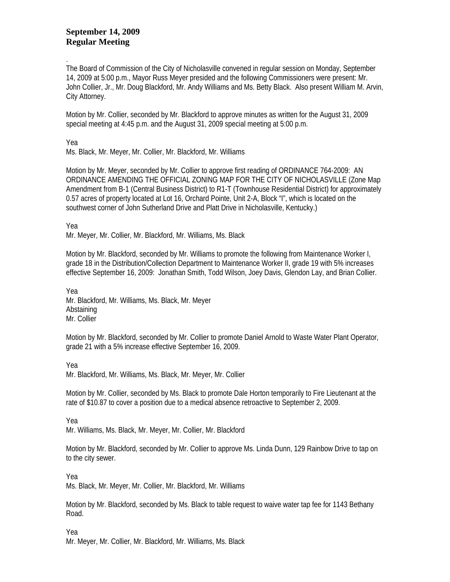## **September 14, 2009 Regular Meeting**

. The Board of Commission of the City of Nicholasville convened in regular session on Monday, September 14, 2009 at 5:00 p.m., Mayor Russ Meyer presided and the following Commissioners were present: Mr. John Collier, Jr., Mr. Doug Blackford, Mr. Andy Williams and Ms. Betty Black. Also present William M. Arvin, City Attorney.

Motion by Mr. Collier, seconded by Mr. Blackford to approve minutes as written for the August 31, 2009 special meeting at 4:45 p.m. and the August 31, 2009 special meeting at 5:00 p.m.

Yea

Ms. Black, Mr. Meyer, Mr. Collier, Mr. Blackford, Mr. Williams

Motion by Mr. Meyer, seconded by Mr. Collier to approve first reading of ORDINANCE 764-2009: AN ORDINANCE AMENDING THE OFFICIAL ZONING MAP FOR THE CITY OF NICHOLASVILLE (Zone Map Amendment from B-1 (Central Business District) to R1-T (Townhouse Residential District) for approximately 0.57 acres of property located at Lot 16, Orchard Pointe, Unit 2-A, Block "I", which is located on the southwest corner of John Sutherland Drive and Platt Drive in Nicholasville, Kentucky.)

Yea

Mr. Meyer, Mr. Collier, Mr. Blackford, Mr. Williams, Ms. Black

Motion by Mr. Blackford, seconded by Mr. Williams to promote the following from Maintenance Worker I, grade 18 in the Distribution/Collection Department to Maintenance Worker II, grade 19 with 5% increases effective September 16, 2009: Jonathan Smith, Todd Wilson, Joey Davis, Glendon Lay, and Brian Collier.

Yea Mr. Blackford, Mr. Williams, Ms. Black, Mr. Meyer Abstaining Mr. Collier

Motion by Mr. Blackford, seconded by Mr. Collier to promote Daniel Arnold to Waste Water Plant Operator, grade 21 with a 5% increase effective September 16, 2009.

Yea

Mr. Blackford, Mr. Williams, Ms. Black, Mr. Meyer, Mr. Collier

Motion by Mr. Collier, seconded by Ms. Black to promote Dale Horton temporarily to Fire Lieutenant at the rate of \$10.87 to cover a position due to a medical absence retroactive to September 2, 2009.

Yea

Mr. Williams, Ms. Black, Mr. Meyer, Mr. Collier, Mr. Blackford

Motion by Mr. Blackford, seconded by Mr. Collier to approve Ms. Linda Dunn, 129 Rainbow Drive to tap on to the city sewer.

Yea

Ms. Black, Mr. Meyer, Mr. Collier, Mr. Blackford, Mr. Williams

Motion by Mr. Blackford, seconded by Ms. Black to table request to waive water tap fee for 1143 Bethany Road.

Yea Mr. Meyer, Mr. Collier, Mr. Blackford, Mr. Williams, Ms. Black